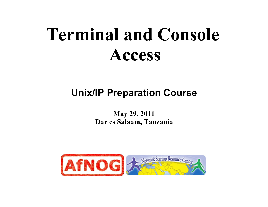# **Terminal and Console Access**

#### **Unix/IP Preparation Course**

**May 29, 2011 Dar es Salaam, Tanzania**

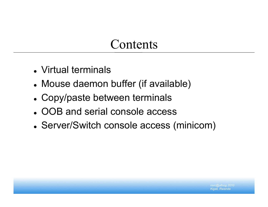#### Contents

- Virtual terminals
- Mouse daemon buffer (if available)
- Copy/paste between terminals
- OOB and serial console access
- Server/Switch console access (minicom)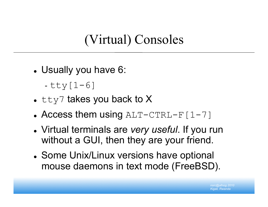#### (Virtual) Consoles

- Usually you have 6:
	- tty[1-6]
- $\bullet$  tty7 takes you back to X
- Access them using  $ALT-CTRL-F[1-7]$
- Virtual terminals are *very useful*. If you run without a GUI, then they are your friend.
- Some Unix/Linux versions have optional mouse daemons in text mode (FreeBSD).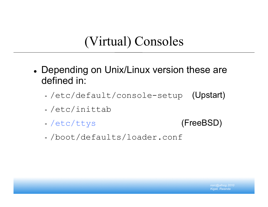### (Virtual) Consoles

- Depending on Unix/Linux version these are defined in:
	- -/etc/default/console-setup (Upstart)
	- /etc/inittab
	- -/etc/ttys (FreeBSD)
	- /boot/defaults/loader.conf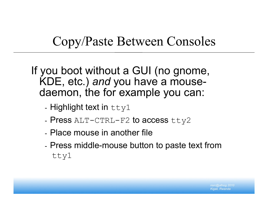## Copy/Paste Between Consoles

If you boot without a GUI (no gnome, KDE, etc.) *and* you have a mousedaemon, the for example you can:

- Highlight text in  $ttty1$
- Press ALT-CTRL-F2 to access tty2
- Place mouse in another file
- Press middle-mouse button to paste text from tty1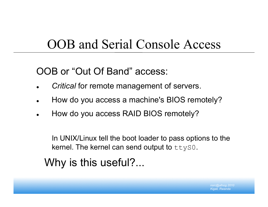#### OOB and Serial Console Access

OOB or "Out Of Band" access:

- *Critical* for remote management of servers.
- How do you access a machine's BIOS remotely?
- How do you access RAID BIOS remotely?

In UNIX/Linux tell the boot loader to pass options to the kernel. The kernel can send output to  $ttySO$ .

Why is this useful?...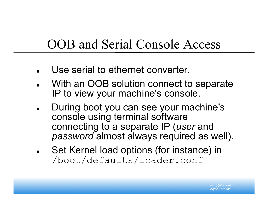#### OOB and Serial Console Access

- Use serial to ethernet converter.
- With an OOB solution connect to separate IP to view your machine's console.
- During boot you can see your machine's console using terminal software connecting to a separate IP (*user* and *password* almost always required as well).
- Set Kernel load options (for instance) in /boot/defaults/loader.conf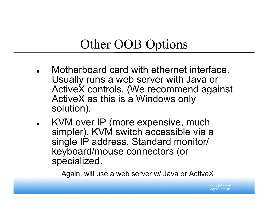### Other OOB Options

- Motherboard card with ethernet interface. Usually runs a web server with Java or ActiveX controls. (We recommend against ActiveX as this is a Windows only solution).
- KVM over IP (more expensive, much simpler). KVM switch accessible via a single IP address. Standard monitor/ keyboard/mouse connectors (or specialized.
	- Again, will use a web server w/ Java or ActiveX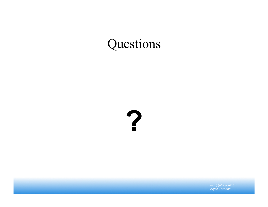# Questions

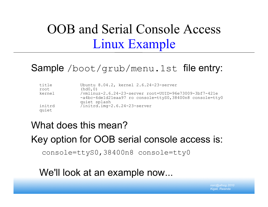# OOB and Serial Console Access Linux Example

#### Sample /boot/grub/menu.1st file entry:

| title<br>root | Ubuntu 8.04.2, kernel 2.6.24-23-server<br>(hd0,0)                        |
|---------------|--------------------------------------------------------------------------|
|               |                                                                          |
| kernel        | /vmlinuz-2.6.24-23-server root=UUID=96e73009-3bf7-421e                   |
|               | -a4bc-6de1d21eaa97 ro console=ttyS0,38400n8 console=tty0<br>quiet splash |
| initrd        | /initrd.img-2.6.24-23-server                                             |
| quiet         |                                                                          |

#### What does this mean? Key option for OOB serial console access is:

console=ttyS0,38400n8 console=tty0

We'll look at an example now...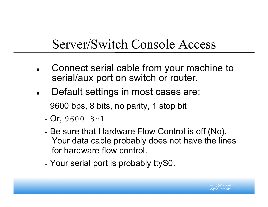#### Server/Switch Console Access

- Connect serial cable from your machine to serial/aux port on switch or router.
- Default settings in most cases are:
	- 9600 bps, 8 bits, no parity, 1 stop bit
	- Or, 9600 8n1
	- Be sure that Hardware Flow Control is off (No). Your data cable probably does not have the lines for hardware flow control.
	- Your serial port is probably ttyS0.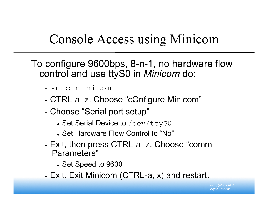### Console Access using Minicom

To configure 9600bps, 8-n-1, no hardware flow control and use ttyS0 in *Minicom* do:

- sudo minicom
- CTRL-a, z. Choose "cOnfigure Minicom"
- Choose "Serial port setup"
	- Set Serial Device to /dev/ttyS0
	- Set Hardware Flow Control to "No"
- Exit, then press CTRL-a, z. Choose "comm Parameters"
	- Set Speed to 9600
- Exit. Exit Minicom (CTRL-a, x) and restart.